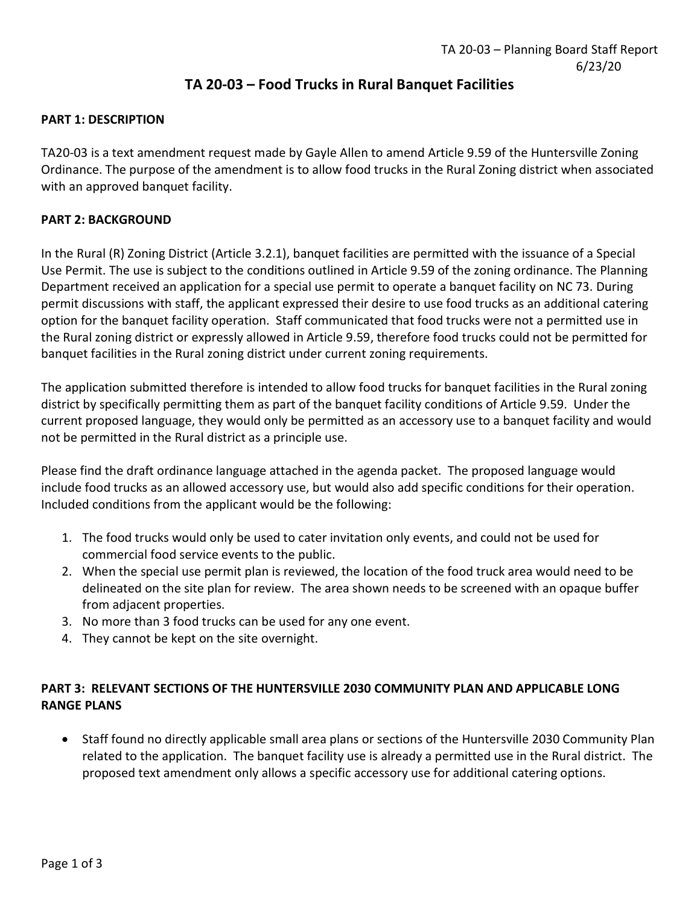# TA 20-03 – Food Trucks in Rural Banquet Facilities

## PART 1: DESCRIPTION

TA20-03 is a text amendment request made by Gayle Allen to amend Article 9.59 of the Huntersville Zoning Ordinance. The purpose of the amendment is to allow food trucks in the Rural Zoning district when associated with an approved banquet facility.

### PART 2: BACKGROUND

In the Rural (R) Zoning District (Article 3.2.1), banquet facilities are permitted with the issuance of a Special Use Permit. The use is subject to the conditions outlined in Article 9.59 of the zoning ordinance. The Planning Department received an application for a special use permit to operate a banquet facility on NC 73. During permit discussions with staff, the applicant expressed their desire to use food trucks as an additional catering option for the banquet facility operation. Staff communicated that food trucks were not a permitted use in the Rural zoning district or expressly allowed in Article 9.59, therefore food trucks could not be permitted for banquet facilities in the Rural zoning district under current zoning requirements.

The application submitted therefore is intended to allow food trucks for banquet facilities in the Rural zoning district by specifically permitting them as part of the banquet facility conditions of Article 9.59. Under the current proposed language, they would only be permitted as an accessory use to a banquet facility and would not be permitted in the Rural district as a principle use.

Please find the draft ordinance language attached in the agenda packet. The proposed language would include food trucks as an allowed accessory use, but would also add specific conditions for their operation. Included conditions from the applicant would be the following:

- 1. The food trucks would only be used to cater invitation only events, and could not be used for commercial food service events to the public.
- 2. When the special use permit plan is reviewed, the location of the food truck area would need to be delineated on the site plan for review. The area shown needs to be screened with an opaque buffer from adjacent properties.
- 3. No more than 3 food trucks can be used for any one event.
- 4. They cannot be kept on the site overnight.

# PART 3: RELEVANT SECTIONS OF THE HUNTERSVILLE 2030 COMMUNITY PLAN AND APPLICABLE LONG RANGE PLANS

• Staff found no directly applicable small area plans or sections of the Huntersville 2030 Community Plan related to the application. The banquet facility use is already a permitted use in the Rural district. The proposed text amendment only allows a specific accessory use for additional catering options.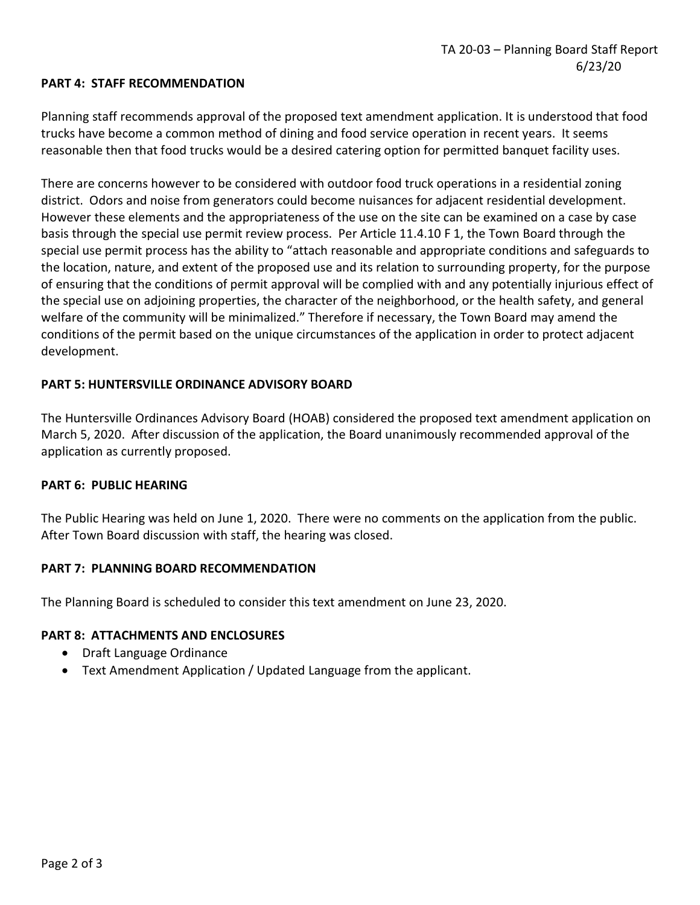### PART 4: STAFF RECOMMENDATION

Planning staff recommends approval of the proposed text amendment application. It is understood that food trucks have become a common method of dining and food service operation in recent years. It seems reasonable then that food trucks would be a desired catering option for permitted banquet facility uses.

There are concerns however to be considered with outdoor food truck operations in a residential zoning district. Odors and noise from generators could become nuisances for adjacent residential development. However these elements and the appropriateness of the use on the site can be examined on a case by case basis through the special use permit review process. Per Article 11.4.10 F 1, the Town Board through the special use permit process has the ability to "attach reasonable and appropriate conditions and safeguards to the location, nature, and extent of the proposed use and its relation to surrounding property, for the purpose of ensuring that the conditions of permit approval will be complied with and any potentially injurious effect of the special use on adjoining properties, the character of the neighborhood, or the health safety, and general welfare of the community will be minimalized." Therefore if necessary, the Town Board may amend the conditions of the permit based on the unique circumstances of the application in order to protect adjacent development.

### PART 5: HUNTERSVILLE ORDINANCE ADVISORY BOARD

The Huntersville Ordinances Advisory Board (HOAB) considered the proposed text amendment application on March 5, 2020. After discussion of the application, the Board unanimously recommended approval of the application as currently proposed.

#### PART 6: PUBLIC HEARING

The Public Hearing was held on June 1, 2020. There were no comments on the application from the public. After Town Board discussion with staff, the hearing was closed.

#### PART 7: PLANNING BOARD RECOMMENDATION

The Planning Board is scheduled to consider this text amendment on June 23, 2020.

#### PART 8: ATTACHMENTS AND ENCLOSURES

- Draft Language Ordinance
- Text Amendment Application / Updated Language from the applicant.